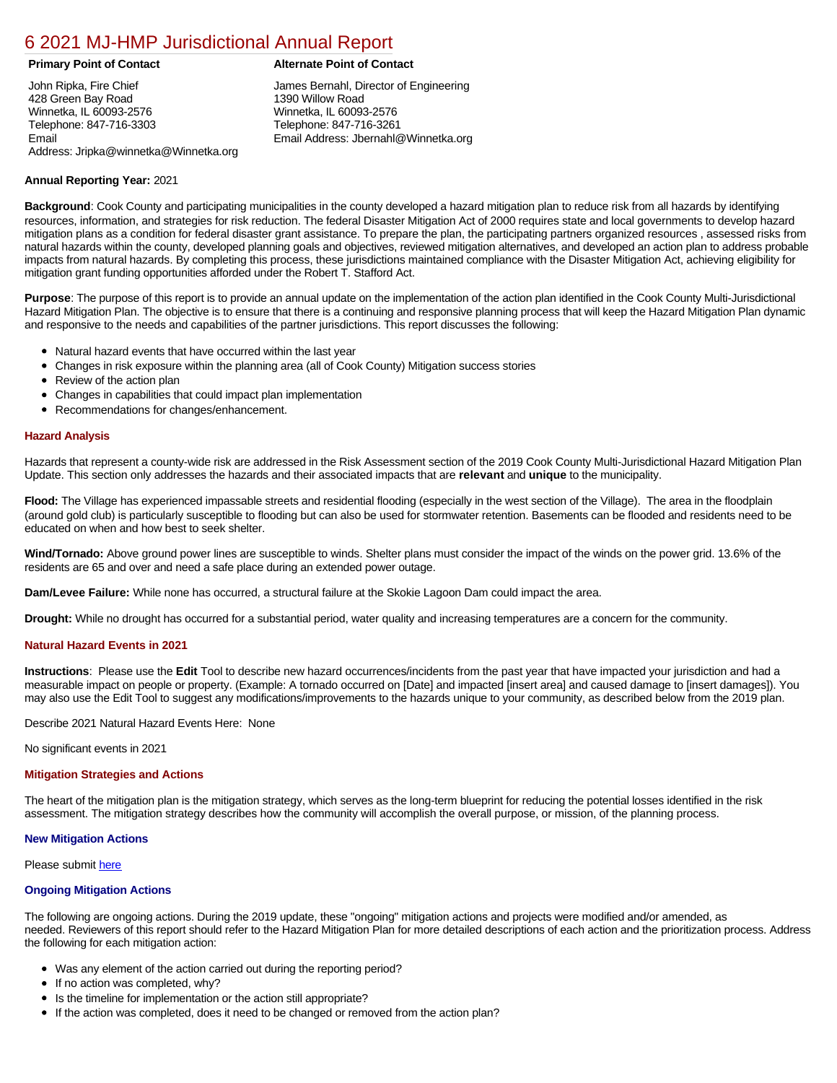## [6 2021 MJ-HMP Jurisdictional Annual Report](https://winnetka.isc-cemp.com/Cemp/Details?id=8326677)

John Ripka, Fire Chief 428 Green Bay Road Winnetka, IL 60093-2576 Telephone: 847-716-3303 Email Address: Jripka@winnetka@Winnetka.org

### **Primary Point of Contact Alternate Point of Contact**

James Bernahl, Director of Engineering 1390 Willow Road Winnetka, IL 60093-2576 Telephone: 847-716-3261 Email Address: Jbernahl@Winnetka.org

### **Annual Reporting Year:** 2021

**Background**: Cook County and participating municipalities in the county developed a hazard mitigation plan to reduce risk from all hazards by identifying resources, information, and strategies for risk reduction. The federal Disaster Mitigation Act of 2000 requires state and local governments to develop hazard mitigation plans as a condition for federal disaster grant assistance. To prepare the plan, the participating partners organized resources , assessed risks from natural hazards within the county, developed planning goals and objectives, reviewed mitigation alternatives, and developed an action plan to address probable impacts from natural hazards. By completing this process, these jurisdictions maintained compliance with the Disaster Mitigation Act, achieving eligibility for mitigation grant funding opportunities afforded under the Robert T. Stafford Act.

**Purpose**: The purpose of this report is to provide an annual update on the implementation of the action plan identified in the Cook County Multi-Jurisdictional Hazard Mitigation Plan. The objective is to ensure that there is a continuing and responsive planning process that will keep the Hazard Mitigation Plan dynamic and responsive to the needs and capabilities of the partner jurisdictions. This report discusses the following:

- Natural hazard events that have occurred within the last year
- Changes in risk exposure within the planning area (all of Cook County) Mitigation success stories
- $\bullet$ Review of the action plan
- Changes in capabilities that could impact plan implementation
- Recommendations for changes/enhancement.

#### **Hazard Analysis**

Hazards that represent a county-wide risk are addressed in the Risk Assessment section of the 2019 Cook County Multi-Jurisdictional Hazard Mitigation Plan Update. This section only addresses the hazards and their associated impacts that are **relevant** and **unique** to the municipality.

**Flood:** The Village has experienced impassable streets and residential flooding (especially in the west section of the Village). The area in the floodplain (around gold club) is particularly susceptible to flooding but can also be used for stormwater retention. Basements can be flooded and residents need to be educated on when and how best to seek shelter.

**Wind/Tornado:** Above ground power lines are susceptible to winds. Shelter plans must consider the impact of the winds on the power grid. 13.6% of the residents are 65 and over and need a safe place during an extended power outage.

**Dam/Levee Failure:** While none has occurred, a structural failure at the Skokie Lagoon Dam could impact the area.

**Drought:** While no drought has occurred for a substantial period, water quality and increasing temperatures are a concern for the community.

#### **Natural Hazard Events in 2021**

**Instructions**: Please use the **Edit** Tool to describe new hazard occurrences/incidents from the past year that have impacted your jurisdiction and had a measurable impact on people or property. (Example: A tornado occurred on [Date] and impacted [insert area] and caused damage to [insert damages]). You may also use the Edit Tool to suggest any modifications/improvements to the hazards unique to your community, as described below from the 2019 plan.

Describe 2021 Natural Hazard Events Here: None

No significant events in 2021

#### **Mitigation Strategies and Actions**

The heart of the mitigation plan is the mitigation strategy, which serves as the long-term blueprint for reducing the potential losses identified in the risk assessment. The mitigation strategy describes how the community will accomplish the overall purpose, or mission, of the planning process.

#### **New Mitigation Actions**

Please submit [here](https://integratedsolutions.wufoo.com/forms/mg21jvf0jn639o/)

#### **Ongoing Mitigation Actions**

The following are ongoing actions. During the 2019 update, these "ongoing" mitigation actions and projects were modified and/or amended, as needed. Reviewers of this report should refer to the Hazard Mitigation Plan for more detailed descriptions of each action and the prioritization process. Address the following for each mitigation action:

- Was any element of the action carried out during the reporting period?
- If no action was completed, why?
- Is the timeline for implementation or the action still appropriate?
- If the action was completed, does it need to be changed or removed from the action plan?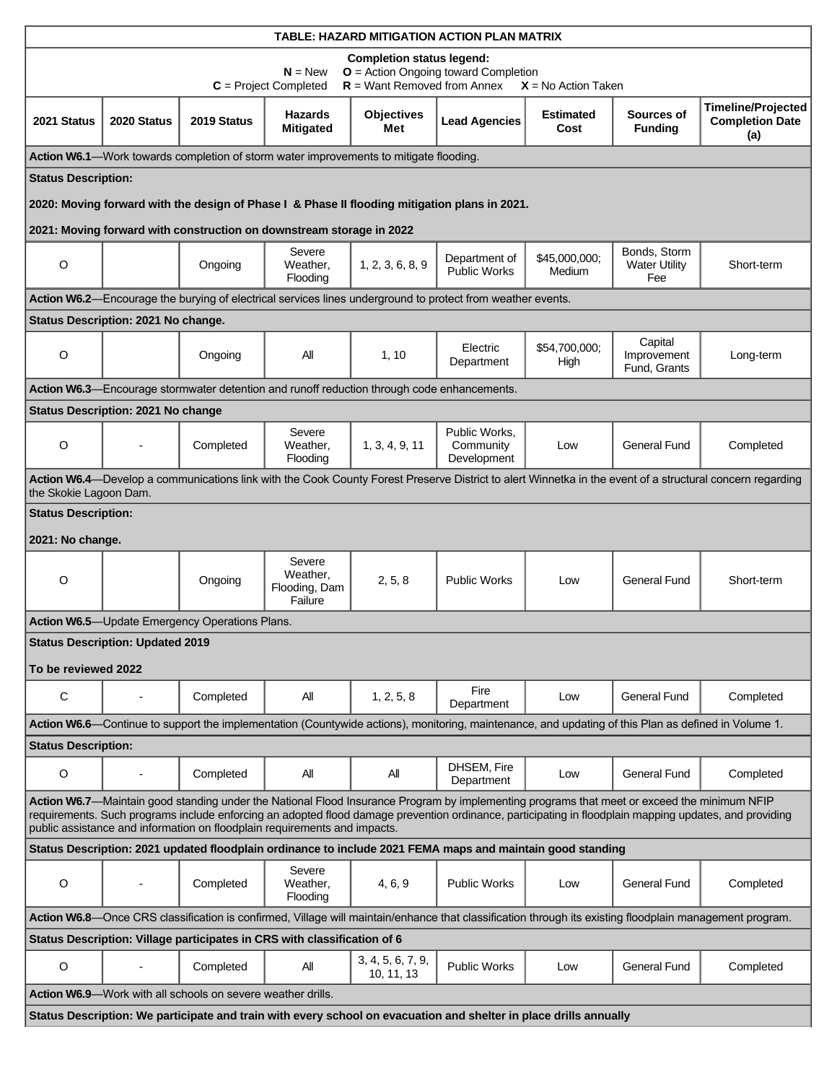| TABLE: HAZARD MITIGATION ACTION PLAN MATRIX                                                                                                                                                                                                                                                                                                                                        |                                           |                                                                     |                                                                                            |                                 |                                                                                                            |                          |                                             |                                                            |
|------------------------------------------------------------------------------------------------------------------------------------------------------------------------------------------------------------------------------------------------------------------------------------------------------------------------------------------------------------------------------------|-------------------------------------------|---------------------------------------------------------------------|--------------------------------------------------------------------------------------------|---------------------------------|------------------------------------------------------------------------------------------------------------|--------------------------|---------------------------------------------|------------------------------------------------------------|
| <b>Completion status legend:</b><br>O = Action Ongoing toward Completion                                                                                                                                                                                                                                                                                                           |                                           |                                                                     |                                                                                            |                                 |                                                                                                            |                          |                                             |                                                            |
|                                                                                                                                                                                                                                                                                                                                                                                    |                                           |                                                                     | $N = New$<br>$C = Project Completed$                                                       | $R =$ Want Removed from Annex   |                                                                                                            | $X = No$ Action Taken    |                                             |                                                            |
| 2021 Status                                                                                                                                                                                                                                                                                                                                                                        | 2020 Status                               | 2019 Status                                                         | <b>Hazards</b><br><b>Mitigated</b>                                                         | <b>Objectives</b><br>Met        | <b>Lead Agencies</b>                                                                                       | <b>Estimated</b><br>Cost | Sources of<br><b>Funding</b>                | <b>Timeline/Projected</b><br><b>Completion Date</b><br>(a) |
|                                                                                                                                                                                                                                                                                                                                                                                    |                                           |                                                                     | Action W6.1-Work towards completion of storm water improvements to mitigate flooding.      |                                 |                                                                                                            |                          |                                             |                                                            |
| <b>Status Description:</b>                                                                                                                                                                                                                                                                                                                                                         |                                           |                                                                     |                                                                                            |                                 |                                                                                                            |                          |                                             |                                                            |
|                                                                                                                                                                                                                                                                                                                                                                                    |                                           |                                                                     |                                                                                            |                                 | 2020: Moving forward with the design of Phase I & Phase II flooding mitigation plans in 2021.              |                          |                                             |                                                            |
|                                                                                                                                                                                                                                                                                                                                                                                    |                                           |                                                                     | 2021: Moving forward with construction on downstream storage in 2022                       |                                 |                                                                                                            |                          |                                             |                                                            |
| $\circ$                                                                                                                                                                                                                                                                                                                                                                            |                                           | Ongoing                                                             | Severe<br>Weather,<br>Flooding                                                             | 1, 2, 3, 6, 8, 9                | Department of<br><b>Public Works</b>                                                                       | \$45,000,000:<br>Medium  | Bonds, Storm<br><b>Water Utility</b><br>Fee | Short-term                                                 |
|                                                                                                                                                                                                                                                                                                                                                                                    |                                           |                                                                     |                                                                                            |                                 | Action W6.2-Encourage the burying of electrical services lines underground to protect from weather events. |                          |                                             |                                                            |
|                                                                                                                                                                                                                                                                                                                                                                                    | Status Description: 2021 No change.       |                                                                     |                                                                                            |                                 |                                                                                                            |                          |                                             |                                                            |
| $\circ$                                                                                                                                                                                                                                                                                                                                                                            |                                           | Ongoing                                                             | All                                                                                        | 1, 10                           | Electric<br>Department                                                                                     | \$54,700,000:<br>High    | Capital<br>Improvement<br>Fund, Grants      | Long-term                                                  |
|                                                                                                                                                                                                                                                                                                                                                                                    |                                           |                                                                     | Action W6.3—Encourage stormwater detention and runoff reduction through code enhancements. |                                 |                                                                                                            |                          |                                             |                                                            |
|                                                                                                                                                                                                                                                                                                                                                                                    | <b>Status Description: 2021 No change</b> |                                                                     |                                                                                            |                                 |                                                                                                            |                          |                                             |                                                            |
| $\circ$                                                                                                                                                                                                                                                                                                                                                                            |                                           | Completed                                                           | Severe<br>Weather,<br>Flooding                                                             | 1, 3, 4, 9, 11                  | Public Works,<br>Community<br>Development                                                                  | Low                      | <b>General Fund</b>                         | Completed                                                  |
| Action W6.4—Develop a communications link with the Cook County Forest Preserve District to alert Winnetka in the event of a structural concern regarding<br>the Skokie Lagoon Dam.                                                                                                                                                                                                 |                                           |                                                                     |                                                                                            |                                 |                                                                                                            |                          |                                             |                                                            |
| <b>Status Description:</b>                                                                                                                                                                                                                                                                                                                                                         |                                           |                                                                     |                                                                                            |                                 |                                                                                                            |                          |                                             |                                                            |
| 2021: No change.                                                                                                                                                                                                                                                                                                                                                                   |                                           |                                                                     |                                                                                            |                                 |                                                                                                            |                          |                                             |                                                            |
| $\circ$                                                                                                                                                                                                                                                                                                                                                                            |                                           | Ongoing                                                             | Severe<br>Weather,<br>Flooding, Dam<br>Failure                                             | 2, 5, 8                         | <b>Public Works</b>                                                                                        | Low                      | <b>General Fund</b>                         | Short-term                                                 |
|                                                                                                                                                                                                                                                                                                                                                                                    |                                           | <b>Action W6.5</b> -Update Emergency Operations Plans.              |                                                                                            |                                 |                                                                                                            |                          |                                             |                                                            |
| <b>Status Description: Updated 2019</b>                                                                                                                                                                                                                                                                                                                                            |                                           |                                                                     |                                                                                            |                                 |                                                                                                            |                          |                                             |                                                            |
| To be reviewed 2022                                                                                                                                                                                                                                                                                                                                                                |                                           |                                                                     |                                                                                            |                                 |                                                                                                            |                          |                                             |                                                            |
| C                                                                                                                                                                                                                                                                                                                                                                                  |                                           | Completed                                                           | All                                                                                        | 1, 2, 5, 8                      | Fire<br>Department                                                                                         | Low                      | <b>General Fund</b>                         | Completed                                                  |
| Action W6.6—Continue to support the implementation (Countywide actions), monitoring, maintenance, and updating of this Plan as defined in Volume 1.                                                                                                                                                                                                                                |                                           |                                                                     |                                                                                            |                                 |                                                                                                            |                          |                                             |                                                            |
| <b>Status Description:</b>                                                                                                                                                                                                                                                                                                                                                         |                                           |                                                                     |                                                                                            |                                 |                                                                                                            |                          |                                             |                                                            |
| O                                                                                                                                                                                                                                                                                                                                                                                  |                                           | Completed                                                           | All                                                                                        | All                             | DHSEM, Fire<br>Department                                                                                  | Low                      | <b>General Fund</b>                         | Completed                                                  |
| Action W6.7-Maintain good standing under the National Flood Insurance Program by implementing programs that meet or exceed the minimum NFIP<br>requirements. Such programs include enforcing an adopted flood damage prevention ordinance, participating in floodplain mapping updates, and providing<br>public assistance and information on floodplain requirements and impacts. |                                           |                                                                     |                                                                                            |                                 |                                                                                                            |                          |                                             |                                                            |
|                                                                                                                                                                                                                                                                                                                                                                                    |                                           |                                                                     |                                                                                            |                                 | Status Description: 2021 updated floodplain ordinance to include 2021 FEMA maps and maintain good standing |                          |                                             |                                                            |
| $\circ$                                                                                                                                                                                                                                                                                                                                                                            | $\overline{\phantom{a}}$                  | Completed                                                           | Severe<br>Weather,<br>Flooding                                                             | 4, 6, 9                         | <b>Public Works</b>                                                                                        | Low                      | General Fund                                | Completed                                                  |
| Action W6.8-Once CRS classification is confirmed, Village will maintain/enhance that classification through its existing floodplain management program.                                                                                                                                                                                                                            |                                           |                                                                     |                                                                                            |                                 |                                                                                                            |                          |                                             |                                                            |
| Status Description: Village participates in CRS with classification of 6                                                                                                                                                                                                                                                                                                           |                                           |                                                                     |                                                                                            |                                 |                                                                                                            |                          |                                             |                                                            |
| $\circ$                                                                                                                                                                                                                                                                                                                                                                            | $\overline{\phantom{a}}$                  | Completed                                                           | All                                                                                        | 3, 4, 5, 6, 7, 9,<br>10, 11, 13 | <b>Public Works</b>                                                                                        | Low                      | General Fund                                | Completed                                                  |
|                                                                                                                                                                                                                                                                                                                                                                                    |                                           | <b>Action W6.9</b> —Work with all schools on severe weather drills. |                                                                                            |                                 |                                                                                                            |                          |                                             |                                                            |
| Status Description: We participate and train with every school on evacuation and shelter in place drills annually                                                                                                                                                                                                                                                                  |                                           |                                                                     |                                                                                            |                                 |                                                                                                            |                          |                                             |                                                            |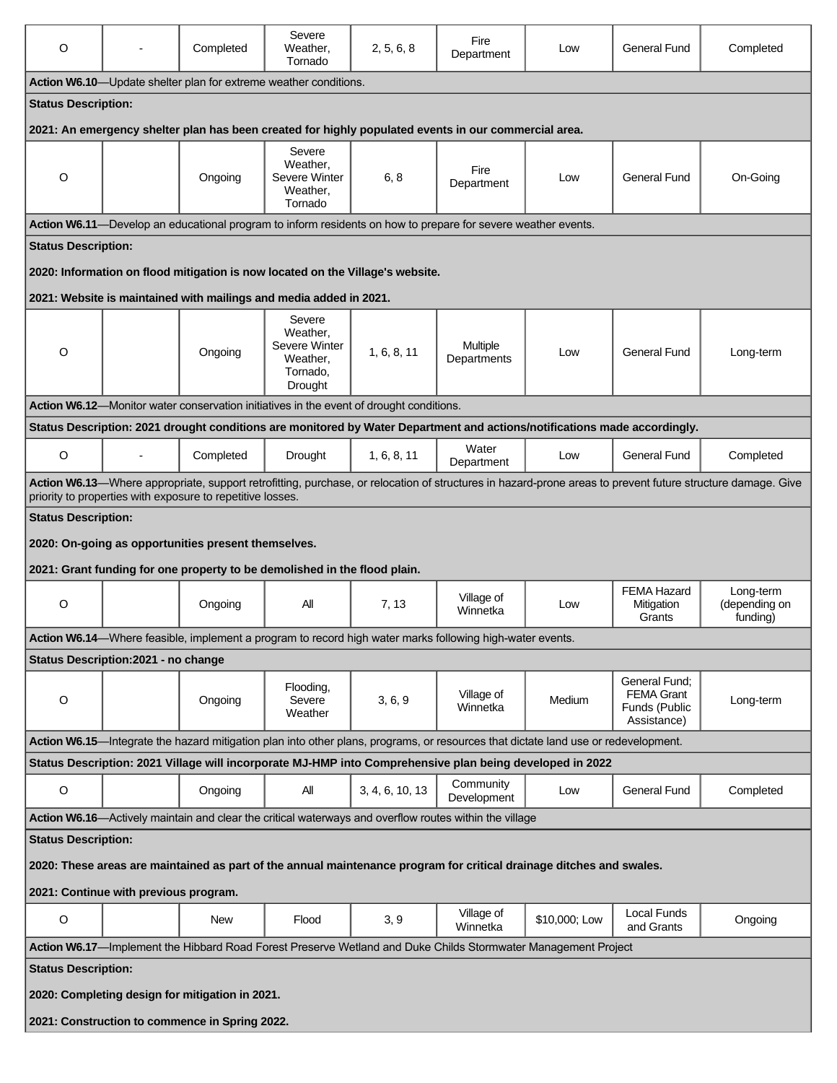| O                                                                                                                    |                                                                                                                                                                                                                          | Completed                                                                 | Severe<br>Weather,<br>Tornado                                          | 2, 5, 6, 8                                                                              | Fire<br>Department                                                                                                                 | Low           | General Fund                                                       | Completed                              |
|----------------------------------------------------------------------------------------------------------------------|--------------------------------------------------------------------------------------------------------------------------------------------------------------------------------------------------------------------------|---------------------------------------------------------------------------|------------------------------------------------------------------------|-----------------------------------------------------------------------------------------|------------------------------------------------------------------------------------------------------------------------------------|---------------|--------------------------------------------------------------------|----------------------------------------|
|                                                                                                                      |                                                                                                                                                                                                                          | Action W6.10-Update shelter plan for extreme weather conditions.          |                                                                        |                                                                                         |                                                                                                                                    |               |                                                                    |                                        |
| <b>Status Description:</b>                                                                                           |                                                                                                                                                                                                                          |                                                                           |                                                                        |                                                                                         |                                                                                                                                    |               |                                                                    |                                        |
|                                                                                                                      |                                                                                                                                                                                                                          |                                                                           |                                                                        |                                                                                         | 2021: An emergency shelter plan has been created for highly populated events in our commercial area.                               |               |                                                                    |                                        |
| $\circ$                                                                                                              |                                                                                                                                                                                                                          | Ongoing                                                                   | Severe<br>Weather,<br>Severe Winter<br>Weather,<br>Tornado             | 6, 8                                                                                    | Fire<br>Department                                                                                                                 | Low           | <b>General Fund</b>                                                | On-Going                               |
|                                                                                                                      |                                                                                                                                                                                                                          |                                                                           |                                                                        |                                                                                         | Action W6.11-Develop an educational program to inform residents on how to prepare for severe weather events.                       |               |                                                                    |                                        |
| <b>Status Description:</b>                                                                                           |                                                                                                                                                                                                                          |                                                                           |                                                                        |                                                                                         |                                                                                                                                    |               |                                                                    |                                        |
|                                                                                                                      |                                                                                                                                                                                                                          |                                                                           |                                                                        | 2020: Information on flood mitigation is now located on the Village's website.          |                                                                                                                                    |               |                                                                    |                                        |
|                                                                                                                      |                                                                                                                                                                                                                          | 2021: Website is maintained with mailings and media added in 2021.        |                                                                        |                                                                                         |                                                                                                                                    |               |                                                                    |                                        |
| O                                                                                                                    |                                                                                                                                                                                                                          | Ongoing                                                                   | Severe<br>Weather,<br>Severe Winter<br>Weather,<br>Tornado.<br>Drought | 1, 6, 8, 11                                                                             | <b>Multiple</b><br>Departments                                                                                                     | Low           | General Fund                                                       | Long-term                              |
|                                                                                                                      |                                                                                                                                                                                                                          |                                                                           |                                                                        | Action W6.12-Monitor water conservation initiatives in the event of drought conditions. |                                                                                                                                    |               |                                                                    |                                        |
|                                                                                                                      |                                                                                                                                                                                                                          |                                                                           |                                                                        |                                                                                         | Status Description: 2021 drought conditions are monitored by Water Department and actions/notifications made accordingly.          |               |                                                                    |                                        |
| $\circ$                                                                                                              | $\blacksquare$                                                                                                                                                                                                           | Completed                                                                 | <b>Drought</b>                                                         | 1, 6, 8, 11                                                                             | Water<br>Department                                                                                                                | Low           | General Fund                                                       | Completed                              |
|                                                                                                                      | Action W6.13—Where appropriate, support retrofitting, purchase, or relocation of structures in hazard-prone areas to prevent future structure damage. Give<br>priority to properties with exposure to repetitive losses. |                                                                           |                                                                        |                                                                                         |                                                                                                                                    |               |                                                                    |                                        |
| <b>Status Description:</b>                                                                                           |                                                                                                                                                                                                                          |                                                                           |                                                                        |                                                                                         |                                                                                                                                    |               |                                                                    |                                        |
| 2020: On-going as opportunities present themselves.                                                                  |                                                                                                                                                                                                                          |                                                                           |                                                                        |                                                                                         |                                                                                                                                    |               |                                                                    |                                        |
|                                                                                                                      |                                                                                                                                                                                                                          | 2021: Grant funding for one property to be demolished in the flood plain. |                                                                        |                                                                                         |                                                                                                                                    |               |                                                                    |                                        |
| $\circ$                                                                                                              |                                                                                                                                                                                                                          | Ongoing                                                                   | All                                                                    | 7, 13                                                                                   | Village of<br>Winnetka                                                                                                             | Low           | <b>FEMA Hazard</b><br>Mitigation<br>Grants                         | Long-term<br>(depending on<br>funding) |
|                                                                                                                      |                                                                                                                                                                                                                          |                                                                           |                                                                        |                                                                                         | Action W6.14-Where feasible, implement a program to record high water marks following high-water events.                           |               |                                                                    |                                        |
|                                                                                                                      | Status Description: 2021 - no change                                                                                                                                                                                     |                                                                           |                                                                        |                                                                                         |                                                                                                                                    |               |                                                                    |                                        |
| O                                                                                                                    |                                                                                                                                                                                                                          | Ongoing                                                                   | Flooding,<br>Severe<br>Weather                                         | 3, 6, 9                                                                                 | Village of<br>Winnetka                                                                                                             | Medium        | General Fund:<br><b>FEMA Grant</b><br>Funds (Public<br>Assistance) | Long-term                              |
|                                                                                                                      |                                                                                                                                                                                                                          |                                                                           |                                                                        |                                                                                         | Action W6.15—Integrate the hazard mitigation plan into other plans, programs, or resources that dictate land use or redevelopment. |               |                                                                    |                                        |
| Status Description: 2021 Village will incorporate MJ-HMP into Comprehensive plan being developed in 2022             |                                                                                                                                                                                                                          |                                                                           |                                                                        |                                                                                         |                                                                                                                                    |               |                                                                    |                                        |
| $\mathsf O$                                                                                                          |                                                                                                                                                                                                                          | Ongoing                                                                   | All                                                                    | 3, 4, 6, 10, 13                                                                         | Community<br>Development                                                                                                           | Low           | <b>General Fund</b>                                                | Completed                              |
|                                                                                                                      |                                                                                                                                                                                                                          |                                                                           |                                                                        |                                                                                         | Action W6.16—Actively maintain and clear the critical waterways and overflow routes within the village                             |               |                                                                    |                                        |
| <b>Status Description:</b>                                                                                           |                                                                                                                                                                                                                          |                                                                           |                                                                        |                                                                                         |                                                                                                                                    |               |                                                                    |                                        |
| 2020: These areas are maintained as part of the annual maintenance program for critical drainage ditches and swales. |                                                                                                                                                                                                                          |                                                                           |                                                                        |                                                                                         |                                                                                                                                    |               |                                                                    |                                        |
| 2021: Continue with previous program.                                                                                |                                                                                                                                                                                                                          |                                                                           |                                                                        |                                                                                         |                                                                                                                                    |               |                                                                    |                                        |
| O                                                                                                                    |                                                                                                                                                                                                                          | <b>New</b>                                                                | Flood                                                                  | 3, 9                                                                                    | Village of<br>Winnetka                                                                                                             | \$10,000; Low | Local Funds<br>and Grants                                          | Ongoing                                |
| Action W6.17-Implement the Hibbard Road Forest Preserve Wetland and Duke Childs Stormwater Management Project        |                                                                                                                                                                                                                          |                                                                           |                                                                        |                                                                                         |                                                                                                                                    |               |                                                                    |                                        |
| <b>Status Description:</b>                                                                                           |                                                                                                                                                                                                                          |                                                                           |                                                                        |                                                                                         |                                                                                                                                    |               |                                                                    |                                        |
| 2020: Completing design for mitigation in 2021.                                                                      |                                                                                                                                                                                                                          |                                                                           |                                                                        |                                                                                         |                                                                                                                                    |               |                                                                    |                                        |
| 2021: Construction to commence in Spring 2022.                                                                       |                                                                                                                                                                                                                          |                                                                           |                                                                        |                                                                                         |                                                                                                                                    |               |                                                                    |                                        |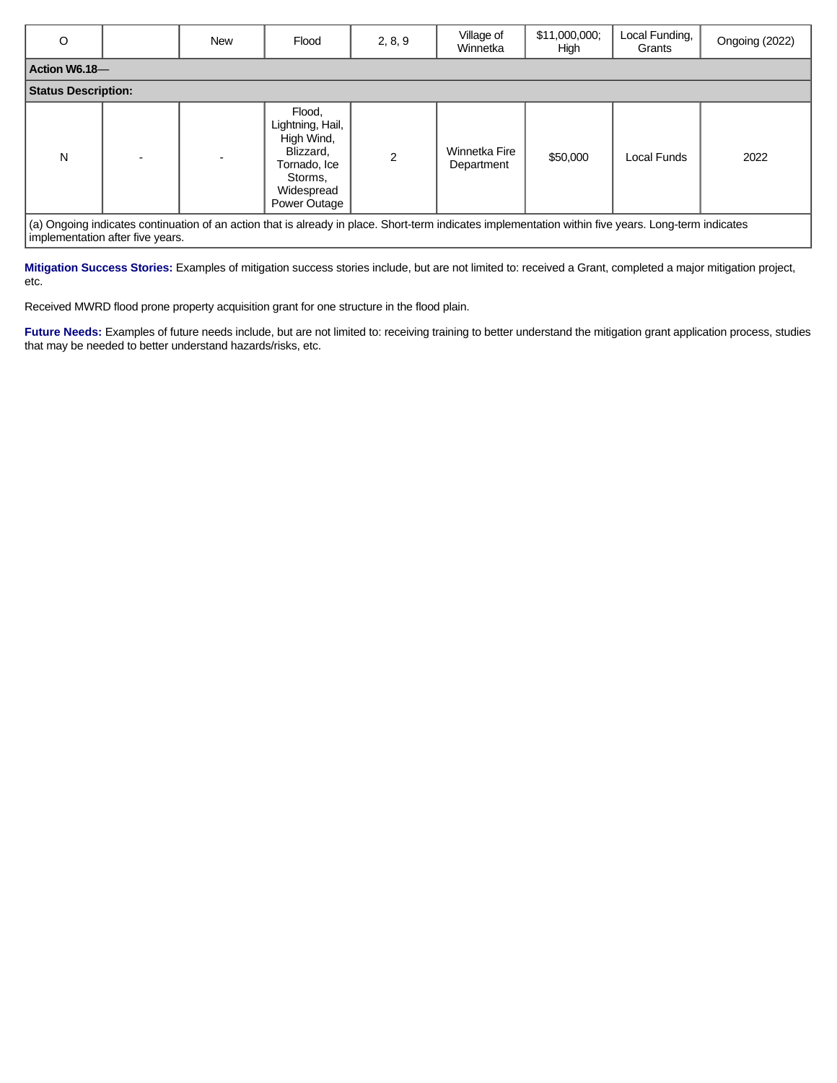| $\circ$                    | <b>New</b> | Flood                                                                                                          | 2, 8, 9        | Village of<br>Winnetka      | \$11,000,000;<br>High | Local Funding,<br>Grants | Ongoing (2022) |
|----------------------------|------------|----------------------------------------------------------------------------------------------------------------|----------------|-----------------------------|-----------------------|--------------------------|----------------|
| Action W6.18-              |            |                                                                                                                |                |                             |                       |                          |                |
| <b>Status Description:</b> |            |                                                                                                                |                |                             |                       |                          |                |
| N                          |            | Flood,<br>Lightning, Hail,<br>High Wind,<br>Blizzard,<br>Tornado, Ice<br>Storms,<br>Widespread<br>Power Outage | $\mathfrak{p}$ | Winnetka Fire<br>Department | \$50,000              | <b>Local Funds</b>       | 2022           |

ngoing indicates continuation of an action that is already in place. Short-term indicates implementation within five years. Long-term indicates implementation after five years.

**Mitigation Success Stories:** Examples of mitigation success stories include, but are not limited to: received a Grant, completed a major mitigation project, etc.

Received MWRD flood prone property acquisition grant for one structure in the flood plain.

Future Needs: Examples of future needs include, but are not limited to: receiving training to better understand the mitigation grant application process, studies that may be needed to better understand hazards/risks, etc.